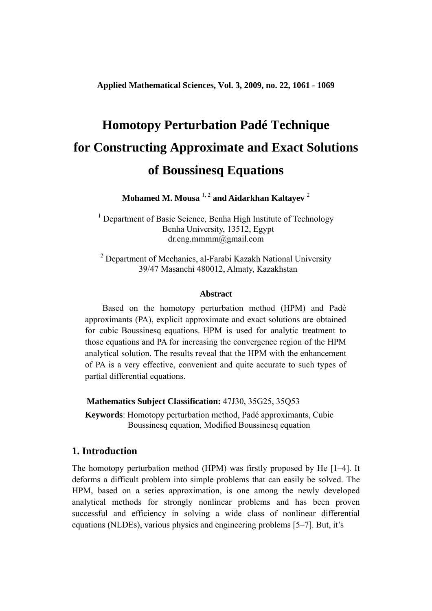**Applied Mathematical Sciences, Vol. 3, 2009, no. 22, 1061 - 1069** 

# **Homotopy Perturbation Padé Technique for Constructing Approximate and Exact Solutions of Boussinesq Equations**

**Mohamed M. Mousa** 1, 2 **and Aidarkhan Kaltayev** <sup>2</sup>

<sup>1</sup> Department of Basic Science, Benha High Institute of Technology Benha University, 13512, Egypt dr.eng.mmmm@gmail.com

<sup>2</sup> Department of Mechanics, al-Farabi Kazakh National University 39/47 Masanchi 480012, Almaty, Kazakhstan

### **Abstract**

 Based on the homotopy perturbation method (HPM) and Padé approximants (PA), explicit approximate and exact solutions are obtained for cubic Boussinesq equations. HPM is used for analytic treatment to those equations and PA for increasing the convergence region of the HPM analytical solution. The results reveal that the HPM with the enhancement of PA is a very effective, convenient and quite accurate to such types of partial differential equations.

 **Mathematics Subject Classification:** 47J30, 35G25, 35Q53

 **Keywords**: Homotopy perturbation method, Padé approximants, Cubic Boussinesq equation, Modified Boussinesq equation

# **1. Introduction**

The homotopy perturbation method (HPM) was firstly proposed by He [1–4]. It deforms a difficult problem into simple problems that can easily be solved. The HPM, based on a series approximation, is one among the newly developed analytical methods for strongly nonlinear problems and has been proven successful and efficiency in solving a wide class of nonlinear differential equations (NLDEs), various physics and engineering problems [5–7]. But, it's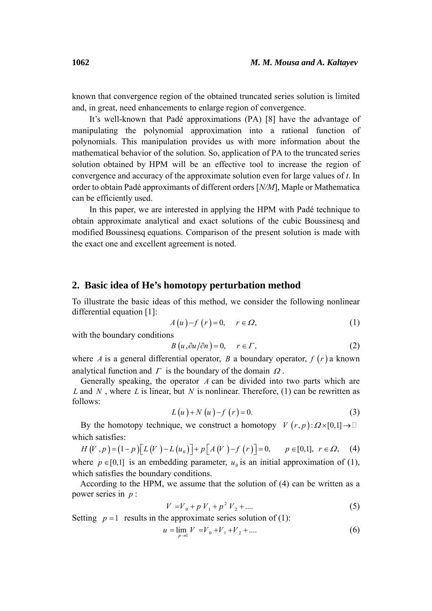known that convergence region of the obtained truncated series solution is limited and, in great, need enhancements to enlarge region of convergence.

 It's well-known that Padé approximations (PA) [8] have the advantage of manipulating the polynomial approximation into a rational function of polynomials. This manipulation provides us with more information about the mathematical behavior of the solution. So, application of PA to the truncated series solution obtained by HPM will be an effective tool to increase the region of convergence and accuracy of the approximate solution even for large values of *t*. In order to obtain Padé approximants of different orders [*N/M*], Maple or Mathematica can be efficiently used.

 In this paper, we are interested in applying the HPM with Padé technique to obtain approximate analytical and exact solutions of the cubic Boussinesq and modified Boussinesq equations. Comparison of the present solution is made with the exact one and excellent agreement is noted.

# **2. Basic idea of He's homotopy perturbation method**

To illustrate the basic ideas of this method, we consider the following nonlinear differential equation [1]:

$$
A(u)-f(r)=0, \quad r \in \Omega,
$$
 (1)

with the boundary conditions

$$
B(u, \partial u/\partial n) = 0, \quad r \in \Gamma,
$$
\n<sup>(2)</sup>

where *A* is a general differential operator, *B* a boundary operator,  $f(r)$  a known analytical function and  $\Gamma$  is the boundary of the domain  $\Omega$ .

 Generally speaking, the operator *A* can be divided into two parts which are *L* and *N* , where *L* is linear, but *N* is nonlinear. Therefore, (1) can be rewritten as follows:

$$
L(u) + N(u) - f(r) = 0.
$$
 (3)

By the homotopy technique, we construct a homotopy  $V(r, p): \Omega \times [0,1] \to \mathbb{R}$ which satisfies:

$$
H(V, p) = (1-p)[L(V) - L(u_0)] + p[A(V) - f(r)] = 0, \qquad p \in [0,1], \ r \in \Omega, \tag{4}
$$

where  $p \in [0,1]$  is an embedding parameter,  $u_0$  is an initial approximation of (1), which satisfies the boundary conditions.

 According to the HPM, we assume that the solution of (4) can be written as a power series in *p* :

$$
V = V_0 + p V_1 + p^2 V_2 + \dots
$$
 (5)

Setting  $p = 1$  results in the approximate series solution of (1):

$$
u = \lim_{p \to 1} V = V_0 + V_1 + V_2 + \dots
$$
 (6)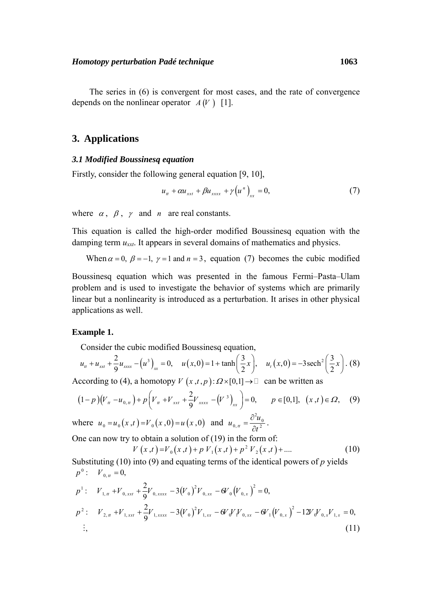The series in (6) is convergent for most cases, and the rate of convergence depends on the nonlinear operator  $A(V)$  [1].

# **3. Applications**

### *3.1 Modified Boussinesq equation*

Firstly, consider the following general equation [9, 10],

$$
u_{tt} + \alpha u_{xxt} + \beta u_{xxxx} + \gamma \left( u^{n} \right)_{xx} = 0, \tag{7}
$$

where  $\alpha$ ,  $\beta$ ,  $\gamma$  and *n* are real constants.

This equation is called the high-order modified Boussinesq equation with the damping term *uxxt*. It appears in several domains of mathematics and physics.

When  $\alpha = 0$ ,  $\beta = -1$ ,  $\gamma = 1$  and  $n = 3$ , equation (7) becomes the cubic modified

Boussinesq equation which was presented in the famous Fermi–Pasta–Ulam problem and is used to investigate the behavior of systems which are primarily linear but a nonlinearity is introduced as a perturbation. It arises in other physical applications as well.

## **Example 1.**

Consider the cubic modified Boussinesq equation,

$$
u_{tt} + u_{xxt} + \frac{2}{9}u_{xxxx} - (u^3)_{xx} = 0, \quad u(x,0) = 1 + \tanh\left(\frac{3}{2}x\right), \quad u_t(x,0) = -3\,\text{sech}^2\left(\frac{3}{2}x\right). \tag{8}
$$

According to (4), a homotopy  $V(x,t,p): \Omega \times [0,1] \to \mathbb{D}$  can be written as

$$
(1-p)(V_{u}-u_{0,u})+p(V_{u}+V_{xxt}+\frac{2}{9}V_{xxx}-(V^{3})_{xx})=0, \qquad p \in [0,1], \ (x,t) \in \Omega, \tag{9}
$$

where  $u_0 = u_0(x, t) = V_0(x, 0) = u(x, 0)$  and  $u_{0, u} = \frac{\partial^2 u_0}{\partial t^2}$ .

One can now try to obtain a solution of  $(19)$  in the form of:

$$
V(x,t) = V_0(x,t) + p V_1(x,t) + p^2 V_2(x,t) + \dots
$$
 (10)

Substituting (10) into (9) and equating terms of the identical powers of *p* yields  $p^{1}:$   $V_{1,u}$  + $V_{0, xxt}$  +  $\frac{2}{9}V_{0, xxxx}$  - 3 $(V_{0})^{2}V_{0, xxt}$  -  $6V_{0}(V_{0, x})^{2}$  = 0,  $p^0$ :  $V_{0,tt} = 0$ ,

$$
p^{2}: V_{2,u} + V_{1,xx} + \frac{2}{9}V_{1,xxxx} - 3(V_{0})^{2}V_{1,xx} - 6V_{0}V_{1}V_{0,xx} - 6V_{1}(V_{0,x})^{2} - 12V_{0}V_{0,x}V_{1,x} = 0,
$$
  
...  
(11)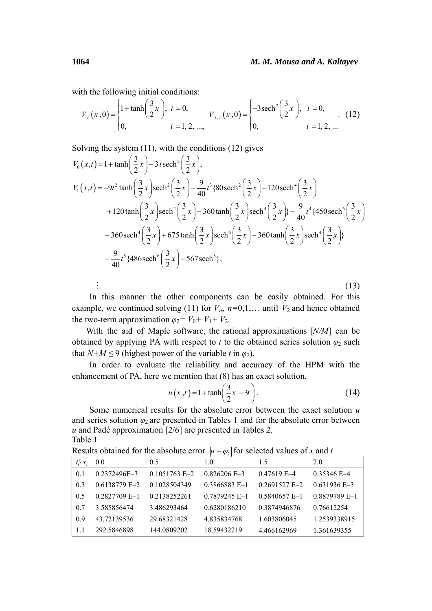with the following initial conditions:

$$
V_{i}(x,0) = \begin{cases} 1 + \tanh\left(\frac{3}{2}x\right), & i = 0, \\ 0, & i = 1, 2, ..., \end{cases} \qquad V_{i,t}(x,0) = \begin{cases} -3\operatorname{sech}^{2}\left(\frac{3}{2}x\right), & i = 0, \\ 0, & i = 1, 2, ... \end{cases}
$$
 (12)

Solving the system (11), with the conditions (12) gives

$$
V_0(x,t) = 1 + \tanh\left(\frac{3}{2}x\right) - 3t \operatorname{sech}^2\left(\frac{3}{2}x\right),
$$
  
\n
$$
V_1(x,t) = -9t^2 \tanh\left(\frac{3}{2}x\right) \operatorname{sech}^2\left(\frac{3}{2}x\right) - \frac{9}{40}t^3 \{80 \operatorname{sech}^2\left(\frac{3}{2}x\right) - 120 \operatorname{sech}^4\left(\frac{3}{2}x\right) + 120 \tanh\left(\frac{3}{2}x\right) \operatorname{sech}^2\left(\frac{3}{2}x\right) - 360 \tanh\left(\frac{3}{2}x\right) \operatorname{sech}^4\left(\frac{3}{2}x\right) + \frac{9}{40}t^4 \{450 \operatorname{sech}^6\left(\frac{3}{2}x\right) - 360 \operatorname{sech}^4\left(\frac{3}{2}x\right) + 675 \tanh\left(\frac{3}{2}x\right) \operatorname{sech}^6\left(\frac{3}{2}x\right) - 360 \tanh\left(\frac{3}{2}x\right) \operatorname{sech}^4\left(\frac{3}{2}x\right) \}
$$
  
\n
$$
-\frac{9}{40}t^5 \{486 \operatorname{sech}^6\left(\frac{3}{2}x\right) - 567 \operatorname{sech}^8\},
$$
  
\n
$$
\vdots
$$
  
\n(13)

 In this manner the other components can be easily obtained. For this example, we continued solving (11) for  $V_n$ ,  $n=0,1,...$  until  $V_2$  and hence obtained the two-term approximation  $\varphi_2 = V_0 + V_1 + V_2$ .

 With the aid of Maple software, the rational approximations [*N/M*] can be obtained by applying PA with respect to *t* to the obtained series solution  $\varphi_2$  such that  $N+M \leq 9$  (highest power of the variable *t* in  $\varphi_2$ ).

 In order to evaluate the reliability and accuracy of the HPM with the enhancement of PA, here we mention that (8) has an exact solution,

$$
u(x,t) = 1 + \tanh\left(\frac{3}{2}x - 3t\right). \tag{14}
$$

 Some numerical results for the absolute error between the exact solution *u* and series solution  $\varphi_2$  are presented in Tables 1 and for the absolute error between *u* and Padé approximation [2/6] are presented in Tables 2. Table 1

| $t_i \backslash x_i$ | 0.0              | 0.5             | 1.0             | 1.5                         | 2.0            |  |  |  |
|----------------------|------------------|-----------------|-----------------|-----------------------------|----------------|--|--|--|
| 0.1                  | $0.2372496E - 3$ | $0.1051763$ E-2 | $0.826206$ E-3  | $0.47619$ E-4               | $0.35346$ E-4  |  |  |  |
| 0.3                  | 0.6138779 E-2    | 0.1028504349    | 0 3866883 E-1   | $0.2691527$ F <sub>-2</sub> | $0.631936$ E-3 |  |  |  |
| 0.5                  | $0.2827709$ E-1  | 0.2138252261    | $0.7879245$ F-1 | $0.5840657$ E-1             | 0.8879789 E-1  |  |  |  |
| 0.7                  | 3.585856474      | 3.486293464     | 0.6280186210    | 0.3874946876                | 0.76612254     |  |  |  |
| 0.9                  | 43.72139536      | 29.68321428     | 4.835834768     | 1.603806045                 | 1.2539338915   |  |  |  |
| -1.1                 | 292.5846898      | 144.0809202     | 18.59432219     | 4.466162969                 | 1.361639355    |  |  |  |

Results obtained for the absolute error  $|u - \varphi_{\alpha}|$  for selected values of *x* and *t*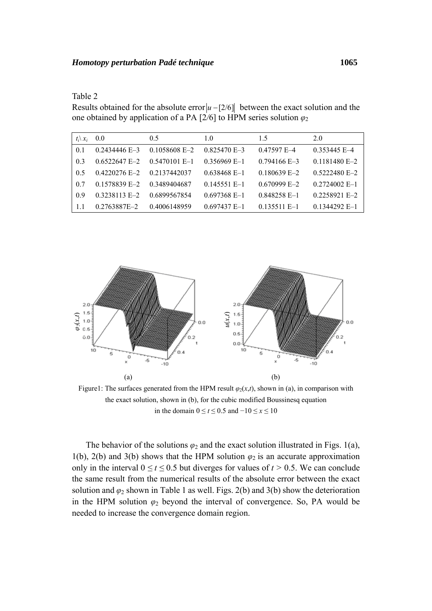| anı |
|-----|
|-----|

Results obtained for the absolute error  $|u - [2/6]|$  between the exact solution and the one obtained by application of a PA [2/6] to HPM series solution  $\varphi_2$ 

| $t_i \backslash x_i$ | 0.0             | 0.5             | 1.0            | 1.5            | 2.0             |
|----------------------|-----------------|-----------------|----------------|----------------|-----------------|
| 0.1                  | $0.2434446$ E-3 | $0.1058608$ E-2 | $0.825470$ E-3 | 0.47597 E-4    | $0.353445$ E-4  |
| 0.3                  | $0.6522647 E-2$ | $0.5470101$ E-1 | $0.356969$ E-1 | $0.794166$ E-3 | $0.1181480 E-2$ |
| 0.5                  | $0.4220276$ E-2 | 0.2137442037    | $0.638468$ E-1 | $0.180639$ E-2 | 0.5222480 E-2   |
| 0.7                  | 0.1578839 E-2   | 0.3489404687    | $0.145551$ E-1 | $0.670999$ F-2 | $0.2724002$ E-1 |
| 09                   | $0.3238113$ E-2 | 0.6899567854    | $0.697368$ E-1 | $0.848258$ E-1 | $0.2258921 E-2$ |
| -1.1                 | 0.2763887E-2    | 0.4006148959    | $0.697437 E-1$ | $0.135511$ E-1 | $0.1344292$ E-1 |



Figure1: The surfaces generated from the HPM result  $\varphi_2(x,t)$ , shown in (a), in comparison with the exact solution, shown in (b), for the cubic modified Boussinesq equation in the domain 0 ≤ *t* ≤ 0.5 and −10 ≤ *x* ≤ 10

The behavior of the solutions  $\varphi_2$  and the exact solution illustrated in Figs. 1(a), 1(b), 2(b) and 3(b) shows that the HPM solution  $\varphi_2$  is an accurate approximation only in the interval  $0 \le t \le 0.5$  but diverges for values of  $t > 0.5$ . We can conclude the same result from the numerical results of the absolute error between the exact solution and  $\varphi_2$  shown in Table 1 as well. Figs. 2(b) and 3(b) show the deterioration in the HPM solution  $\varphi_2$  beyond the interval of convergence. So, PA would be needed to increase the convergence domain region.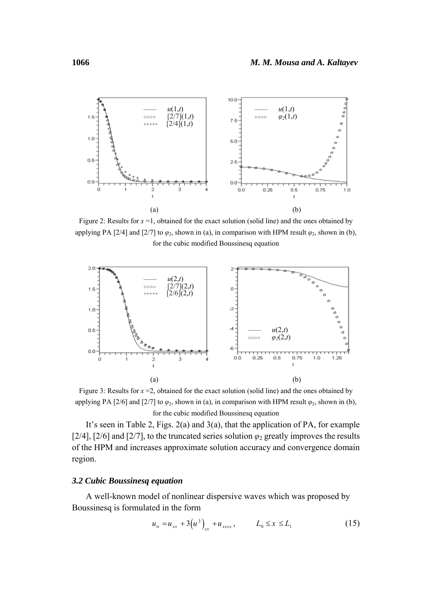

Figure 2: Results for *x* =1, obtained for the exact solution (solid line) and the ones obtained by applying PA [2/4] and [2/7] to  $\varphi_2$ , shown in (a), in comparison with HPM result  $\varphi_2$ , shown in (b), for the cubic modified Boussinesq equation



Figure 3: Results for *x* =2, obtained for the exact solution (solid line) and the ones obtained by applying PA [2/6] and [2/7] to  $\varphi_2$ , shown in (a), in comparison with HPM result  $\varphi_2$ , shown in (b), for the cubic modified Boussinesq equation

 It's seen in Table 2, Figs. 2(a) and 3(a), that the application of PA, for example [2/4], [2/6] and [2/7], to the truncated series solution  $\varphi_2$  greatly improves the results of the HPM and increases approximate solution accuracy and convergence domain region.

#### *3.2 Cubic Boussinesq equation*

 A well-known model of nonlinear dispersive waves which was proposed by Boussinesq is formulated in the form

$$
u_{tt} = u_{xx} + 3(u^3)_{xx} + u_{xxxx}, \qquad L_0 \le x \le L_1
$$
 (15)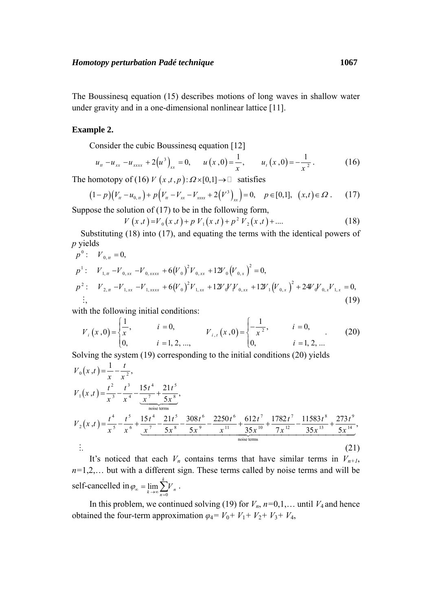The Boussinesq equation (15) describes motions of long waves in shallow water under gravity and in a one-dimensional nonlinear lattice [11].

#### **Example 2.**

Consider the cubic Boussinesq equation [12]

$$
u_{u} - u_{xx} - u_{xxxx} + 2(u^{3})_{xx} = 0, \qquad u(x,0) = \frac{1}{x}, \qquad u_{t}(x,0) = -\frac{1}{x^{2}}.
$$
 (16)

The homotopy of (16)  $V(x,t,p): \Omega \times [0,1] \to \mathbb{D}$  satisfies

$$
(1-p)(V_u - u_{0,u}) + p(V_u - V_{xx} - V_{xxx} + 2(V^3))_{xx}) = 0, \quad p \in [0,1], \ (x,t) \in \Omega. \tag{17}
$$

Suppose the solution of  $(17)$  to be in the following form,

$$
V(x,t) = V_0(x,t) + p V_1(x,t) + p^2 V_2(x,t) + \dots
$$
 (18)

 Substituting (18) into (17), and equating the terms with the identical powers of *p* yields

$$
p^{0}: V_{0,u} = 0,
$$
  
\n
$$
p^{1}: V_{1,u} - V_{0,xx} - V_{0,xxxx} + 6(V_{0})^{2}V_{0,xx} + 12V_{0}(V_{0,x})^{2} = 0,
$$
  
\n
$$
p^{2}: V_{2,u} - V_{1,xx} - V_{1,xxxx} + 6(V_{0})^{2}V_{1,xx} + 12V_{0}V_{0,xx} + 12V_{1}(V_{0,x})^{2} + 24V_{0}V_{0,x}V_{1,x} = 0,
$$
  
\n
$$
\vdots,
$$
\n(19)

with the following initial conditions:

$$
V_{i}(x,0) = \begin{cases} \frac{1}{x}, & i = 0, \\ 0, & i = 1, 2, ..., \end{cases} \qquad V_{i,t}(x,0) = \begin{cases} -\frac{1}{x^{2}}, & i = 0, \\ 0, & i = 1, 2, ... \end{cases}
$$
 (20)

Solving the system (19) corresponding to the initial conditions (20) yields

$$
V_0(x,t) = \frac{1}{x} - \frac{t}{x^2},
$$
  
\n
$$
V_1(x,t) = \frac{t^2}{x^3} - \frac{t^3}{x^4} - \frac{15t^4}{x^7} + \frac{21t^5}{5x^8},
$$
  
\n
$$
V_2(x,t) = \frac{t^4}{x^5} - \frac{t^5}{x^6} + \frac{15t^4}{x^7} - \frac{21t^5}{5x^8} - \frac{308t^6}{5x^9} - \frac{2250t^6}{x^{11}} + \frac{612t^7}{35x^{10}} + \frac{1782t^7}{7x^{12}} - \frac{11583t^8}{35x^{13}} + \frac{273t^9}{5x^{14}},
$$
  
\n
$$
\vdots
$$
  
\n(21)

It's noticed that each  $V_n$  contains terms that have similar terms in  $V_{n+1}$ , *n=*1,2,… but with a different sign. These terms called by noise terms and will be self-cancelled in  $\varphi_{\infty} = \lim_{k \to \infty} \sum_{n=0}^{k}$  $\lim_{k\to\infty}\sum_{n=0}^{N}V_n$ .

In this problem, we continued solving (19) for  $V_n$ ,  $n=0,1,...$  until  $V_4$  and hence obtained the four-term approximation  $\varphi_4 = V_0 + V_1 + V_2 + V_3 + V_4$ ,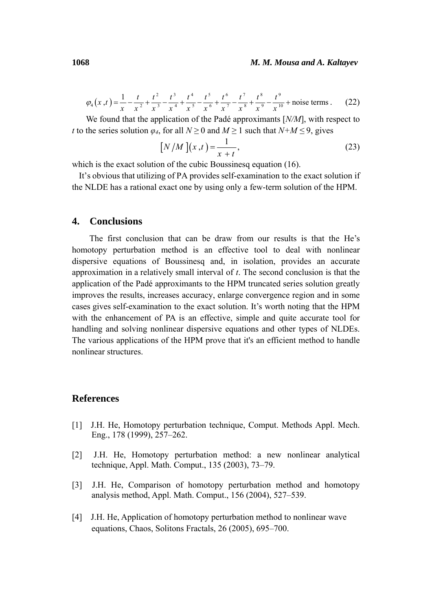$$
\varphi_4(x,t) = \frac{1}{x} - \frac{t}{x^2} + \frac{t^2}{x^3} - \frac{t^3}{x^4} + \frac{t^4}{x^5} - \frac{t^5}{x^6} + \frac{t^6}{x^7} - \frac{t^7}{x^8} + \frac{t^8}{x^9} - \frac{t^9}{x^{10}} + \text{noise terms} \,. \tag{22}
$$

 We found that the application of the Padé approximants [*N/M*], with respect to *t* to the series solution  $\varphi_4$ , for all  $N \ge 0$  and  $M \ge 1$  such that  $N+M \le 9$ , gives

$$
\left[N/M\right]\left(x,t\right) = \frac{1}{x+t},\tag{23}
$$

which is the exact solution of the cubic Boussinesa equation (16).

 It's obvious that utilizing of PA provides self-examination to the exact solution if the NLDE has a rational exact one by using only a few-term solution of the HPM.

# **4. Conclusions**

 The first conclusion that can be draw from our results is that the He's homotopy perturbation method is an effective tool to deal with nonlinear dispersive equations of Boussinesq and, in isolation, provides an accurate approximation in a relatively small interval of *t*. The second conclusion is that the application of the Padé approximants to the HPM truncated series solution greatly improves the results, increases accuracy, enlarge convergence region and in some cases gives self-examination to the exact solution. It's worth noting that the HPM with the enhancement of PA is an effective, simple and quite accurate tool for handling and solving nonlinear dispersive equations and other types of NLDEs. The various applications of the HPM prove that it's an efficient method to handle nonlinear structures.

# **References**

- [1] J.H. He, Homotopy perturbation technique, Comput. Methods Appl. Mech. Eng., 178 (1999), 257–262.
- [2] J.H. He, Homotopy perturbation method: a new nonlinear analytical technique, Appl. Math. Comput., 135 (2003), 73–79.
- [3] J.H. He, Comparison of homotopy perturbation method and homotopy analysis method, Appl. Math. Comput., 156 (2004), 527–539.
- [4] J.H. He, Application of homotopy perturbation method to nonlinear wave equations, Chaos, Solitons Fractals, 26 (2005), 695–700.